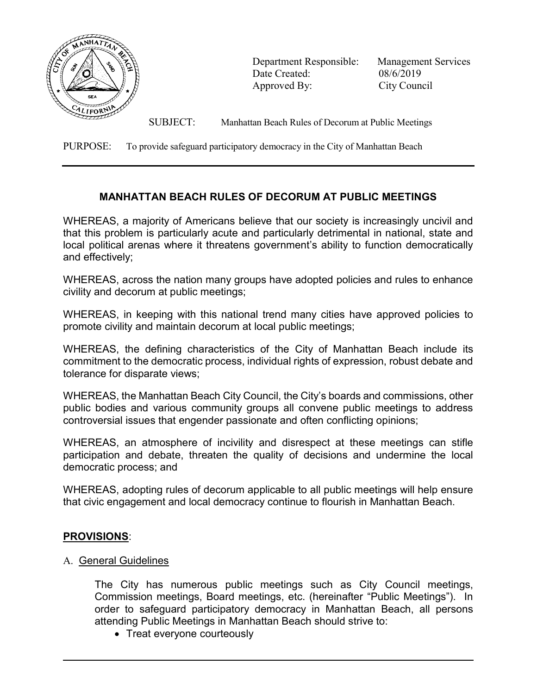

 Department Responsible: Management Services Date Created: 08/6/2019 Approved By: City Council

SUBJECT: Manhattan Beach Rules of Decorum at Public Meetings

PURPOSE: To provide safeguard participatory democracy in the City of Manhattan Beach

# MANHATTAN BEACH RULES OF DECORUM AT PUBLIC MEETINGS

WHEREAS, a majority of Americans believe that our society is increasingly uncivil and that this problem is particularly acute and particularly detrimental in national, state and local political arenas where it threatens government's ability to function democratically and effectively;

WHEREAS, across the nation many groups have adopted policies and rules to enhance civility and decorum at public meetings;

WHEREAS, in keeping with this national trend many cities have approved policies to promote civility and maintain decorum at local public meetings;

WHEREAS, the defining characteristics of the City of Manhattan Beach include its commitment to the democratic process, individual rights of expression, robust debate and tolerance for disparate views;

WHEREAS, the Manhattan Beach City Council, the City's boards and commissions, other public bodies and various community groups all convene public meetings to address controversial issues that engender passionate and often conflicting opinions;

WHEREAS, an atmosphere of incivility and disrespect at these meetings can stifle participation and debate, threaten the quality of decisions and undermine the local democratic process; and

WHEREAS, adopting rules of decorum applicable to all public meetings will help ensure that civic engagement and local democracy continue to flourish in Manhattan Beach.

# PROVISIONS:

 $\overline{\phantom{a}}$ 

# A. General Guidelines

The City has numerous public meetings such as City Council meetings, Commission meetings, Board meetings, etc. (hereinafter "Public Meetings"). In order to safeguard participatory democracy in Manhattan Beach, all persons attending Public Meetings in Manhattan Beach should strive to:

• Treat everyone courteously